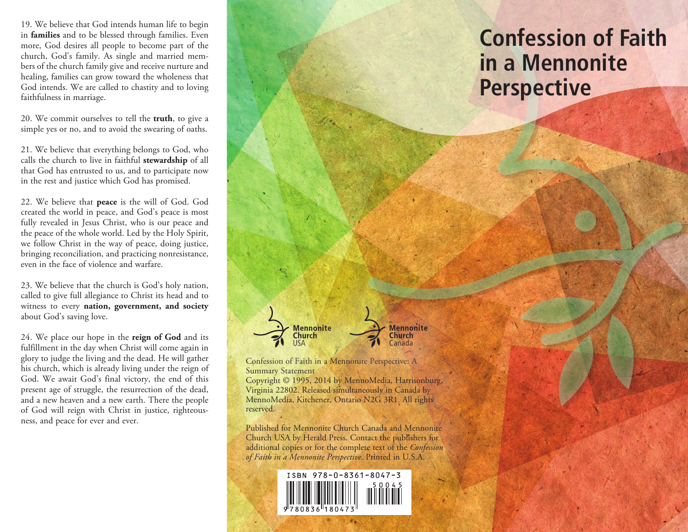19. We believe that God intends human life to begin in **families** and to be blessed through families. Even more, God desires all people to become part of the church, God's family. As single and married members of the church family give and receive nurture and healing, families can grow toward the wholeness that God intends. We are called to chastity and to loving faithfulness in marriage.

20. We commit ourselves to tell the **truth**, to give a simple yes or no, and to avoid the swearing of oaths.

21. We believe that everything belongs to God, who calls the church to live in faithful **stewardship** of all that God has entrusted to us, and to participate now in the rest and justice which God has promised.

22. We believe that **peace** is the will of God. God created the world in peace, and God's peace is most fully revealed in Jesus Christ, who is our peace and the peace of the whole world. Led by the Holy Spirit, we follow Christ in the way of peace, doing justice, bringing reconciliation, and practicing nonresistance, even in the face of violence and warfare.

23. We believe that the church is God's holy nation, called to give full allegiance to Christ its head and to witness to every **nation, government, and society** about God's saving love.

24. We place our hope in the **reign of God** and its fulfillment in the day when Christ will come again in glory to judge the living and the dead. He will gather his church, which is already living under the reign of God. We await God's final victory, the end of this present age of struggle, the resurrection of the dead, and a new heaven and a new earth. There the people of God will reign with Christ in justice, righteousness, and peace for ever and ever.

## **Confession of Faith in a Mennonite Perspective**



Confession of Faith in a Mennonite Perspective: A Summary Statement Copyright © 1995, 2014 by MennoMedia, Harrisonburg,

Virginia 22802. Released simultaneously in Canada by MennoMedia, Kitchener, Ontario N2G 3R1. All rights reserved.

Published for Mennonite Church Canada and Mennonite Church USA by Herald Press. Contact the publishers for additional copies or for the complete text of the *Confession of Faith in a Mennonite Perspective.* Printed in U.S.A.